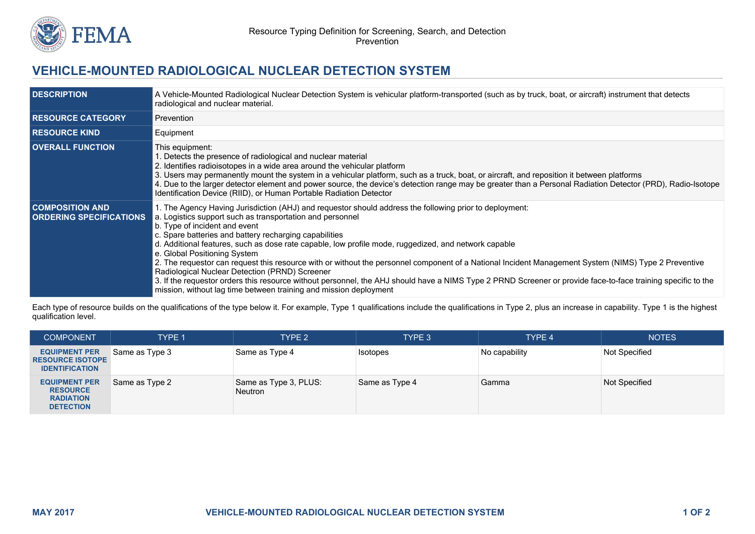

## **VEHICLE-MOUNTED RADIOLOGICAL NUCLEAR DETECTION SYSTEM**

| <b>DESCRIPTION</b>                                       | A Vehicle-Mounted Radiological Nuclear Detection System is vehicular platform-transported (such as by truck, boat, or aircraft) instrument that detects<br>radiological and nuclear material.                                                                                                                                                                                                                                                                                                                                                                                                                                                                                                                                                                                                                                                          |  |  |  |  |
|----------------------------------------------------------|--------------------------------------------------------------------------------------------------------------------------------------------------------------------------------------------------------------------------------------------------------------------------------------------------------------------------------------------------------------------------------------------------------------------------------------------------------------------------------------------------------------------------------------------------------------------------------------------------------------------------------------------------------------------------------------------------------------------------------------------------------------------------------------------------------------------------------------------------------|--|--|--|--|
| <b>RESOURCE CATEGORY</b>                                 | Prevention                                                                                                                                                                                                                                                                                                                                                                                                                                                                                                                                                                                                                                                                                                                                                                                                                                             |  |  |  |  |
| <b>RESOURCE KIND</b>                                     | Equipment                                                                                                                                                                                                                                                                                                                                                                                                                                                                                                                                                                                                                                                                                                                                                                                                                                              |  |  |  |  |
| <b>OVERALL FUNCTION</b>                                  | This equipment:<br>1. Detects the presence of radiological and nuclear material<br>2. Identifies radioisotopes in a wide area around the vehicular platform<br>3. Users may permanently mount the system in a vehicular platform, such as a truck, boat, or aircraft, and reposition it between platforms<br>4. Due to the larger detector element and power source, the device's detection range may be greater than a Personal Radiation Detector (PRD), Radio-Isotope<br>Identification Device (RIID), or Human Portable Radiation Detector                                                                                                                                                                                                                                                                                                         |  |  |  |  |
| <b>COMPOSITION AND</b><br><b>ORDERING SPECIFICATIONS</b> | 1. The Agency Having Jurisdiction (AHJ) and requestor should address the following prior to deployment:<br>a. Logistics support such as transportation and personnel<br>b. Type of incident and event<br>c. Spare batteries and battery recharging capabilities<br>d. Additional features, such as dose rate capable, low profile mode, ruggedized, and network capable<br>e. Global Positioning System<br>2. The requestor can request this resource with or without the personnel component of a National Incident Management System (NIMS) Type 2 Preventive<br>Radiological Nuclear Detection (PRND) Screener<br>3. If the requestor orders this resource without personnel, the AHJ should have a NIMS Type 2 PRND Screener or provide face-to-face training specific to the<br>mission, without lag time between training and mission deployment |  |  |  |  |

Each type of resource builds on the qualifications of the type below it. For example, Type 1 qualifications include the qualifications in Type 2, plus an increase in capability. Type 1 is the highest qualification level.

| <b>COMPONENT</b>                                                                | <b>TYPE 1</b>  | TYPE <sub>2</sub>                | TYPE 3          | <b>TYPE 4</b> | <b>NOTES</b>  |
|---------------------------------------------------------------------------------|----------------|----------------------------------|-----------------|---------------|---------------|
| <b>EQUIPMENT PER</b><br><b>RESOURCE ISOTOPE</b><br><b>IDENTIFICATION</b>        | Same as Type 3 | Same as Type 4                   | <b>Isotopes</b> | No capability | Not Specified |
| <b>EQUIPMENT PER</b><br><b>RESOURCE</b><br><b>RADIATION</b><br><b>DETECTION</b> | Same as Type 2 | Same as Type 3, PLUS:<br>Neutron | Same as Type 4  | Gamma         | Not Specified |